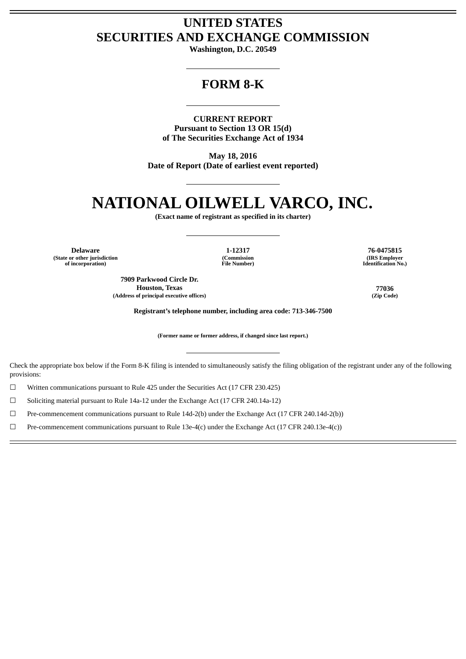## **UNITED STATES SECURITIES AND EXCHANGE COMMISSION**

**Washington, D.C. 20549**

## **FORM 8-K**

**CURRENT REPORT Pursuant to Section 13 OR 15(d) of The Securities Exchange Act of 1934**

**May 18, 2016 Date of Report (Date of earliest event reported)**

## **NATIONAL OILWELL VARCO, INC.**

**(Exact name of registrant as specified in its charter)**

**Delaware 1-12317 76-0475815 (State or other jurisdiction of incorporation)**

**(Commission File Number)**

**7909 Parkwood Circle Dr. Houston, Texas 77036 (Address of principal executive offices) (Zip Code)**

**(IRS Employer Identification No.)**

**Registrant's telephone number, including area code: 713-346-7500**

**(Former name or former address, if changed since last report.)**

Check the appropriate box below if the Form 8-K filing is intended to simultaneously satisfy the filing obligation of the registrant under any of the following provisions:

☐ Written communications pursuant to Rule 425 under the Securities Act (17 CFR 230.425)

☐ Soliciting material pursuant to Rule 14a-12 under the Exchange Act (17 CFR 240.14a-12)

☐ Pre-commencement communications pursuant to Rule 14d-2(b) under the Exchange Act (17 CFR 240.14d-2(b))

☐ Pre-commencement communications pursuant to Rule 13e-4(c) under the Exchange Act (17 CFR 240.13e-4(c))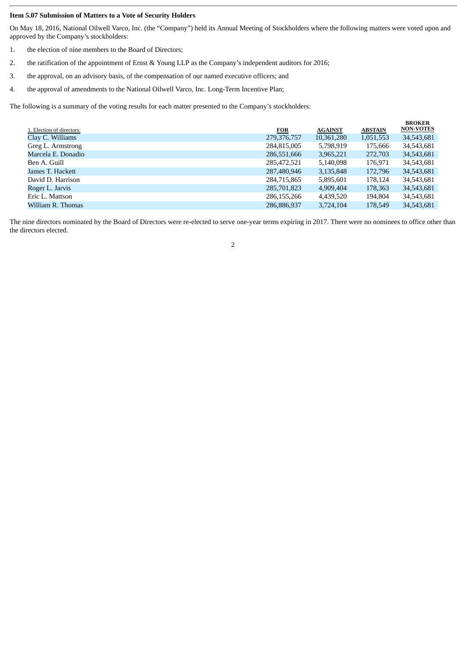## **Item 5.07 Submission of Matters to a Vote of Security Holders**

On May 18, 2016, National Oilwell Varco, Inc. (the "Company") held its Annual Meeting of Stockholders where the following matters were voted upon and approved by the Company's stockholders:

- 1. the election of nine members to the Board of Directors;
- 2. the ratification of the appointment of Ernst & Young LLP as the Company's independent auditors for 2016;
- 3. the approval, on an advisory basis, of the compensation of our named executive officers; and
- 4. the approval of amendments to the National Oilwell Varco, Inc. Long-Term Incentive Plan;

The following is a summary of the voting results for each matter presented to the Company's stockholders:

| 1. Election of directors: | <b>FOR</b>  | <b>AGAINST</b> | <b>ABSTAIN</b> | <b>BROKER</b><br><b>NON-VOTES</b> |
|---------------------------|-------------|----------------|----------------|-----------------------------------|
| Clay C. Williams          | 279,376,757 | 10,361,280     | 1,051,553      | 34,543,681                        |
| Greg L. Armstrong         | 284,815,005 | 5,798,919      | 175,666        | 34,543,681                        |
| Marcela E. Donadio        | 286,551,666 | 3,965,221      | 272,703        | 34,543,681                        |
| Ben A. Guill              | 285,472,521 | 5,140,098      | 176,971        | 34,543,681                        |
| James T. Hackett          | 287,480,946 | 3,135,848      | 172,796        | 34,543,681                        |
| David D. Harrison         | 284,715,865 | 5,895,601      | 178,124        | 34,543,681                        |
| Roger L. Jarvis           | 285,701,823 | 4,909,404      | 178,363        | 34,543,681                        |
| Eric L. Mattson           | 286,155,266 | 4,439,520      | 194,804        | 34,543,681                        |
| William R. Thomas         | 286,886,937 | 3.724.104      | 178,549        | 34,543,681                        |

The nine directors nominated by the Board of Directors were re-elected to serve one-year terms expiring in 2017. There were no nominees to office other than the directors elected.

2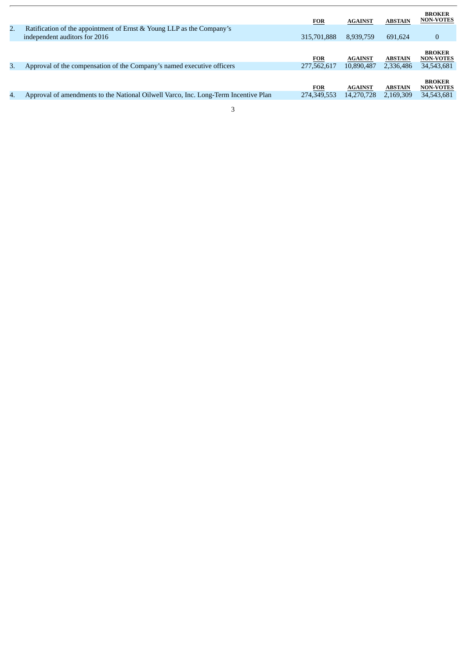|    |                                                                                     | <b>FOR</b>  | <b>AGAINST</b> | <b>ABSTAIN</b> | <b>BROKER</b><br><b>NON-VOTES</b> |
|----|-------------------------------------------------------------------------------------|-------------|----------------|----------------|-----------------------------------|
| 2. | Ratification of the appointment of Ernst & Young LLP as the Company's               |             |                |                |                                   |
|    | independent auditors for 2016                                                       | 315,701,888 | 8,939,759      | 691,624        | $\bf{0}$                          |
|    |                                                                                     | <b>FOR</b>  | <b>AGAINST</b> | <b>ABSTAIN</b> | <b>BROKER</b><br><b>NON-VOTES</b> |
| 3. | Approval of the compensation of the Company's named executive officers              | 277,562,617 | 10,890,487     | 2,336,486      | 34,543,681                        |
|    |                                                                                     | <b>FOR</b>  | <b>AGAINST</b> | <b>ABSTAIN</b> | <b>BROKER</b><br><b>NON-VOTES</b> |
| 4. | Approval of amendments to the National Oilwell Varco, Inc. Long-Term Incentive Plan | 274,349,553 | 14,270,728     | 2,169,309      | 34,543,681                        |
|    | 3                                                                                   |             |                |                |                                   |